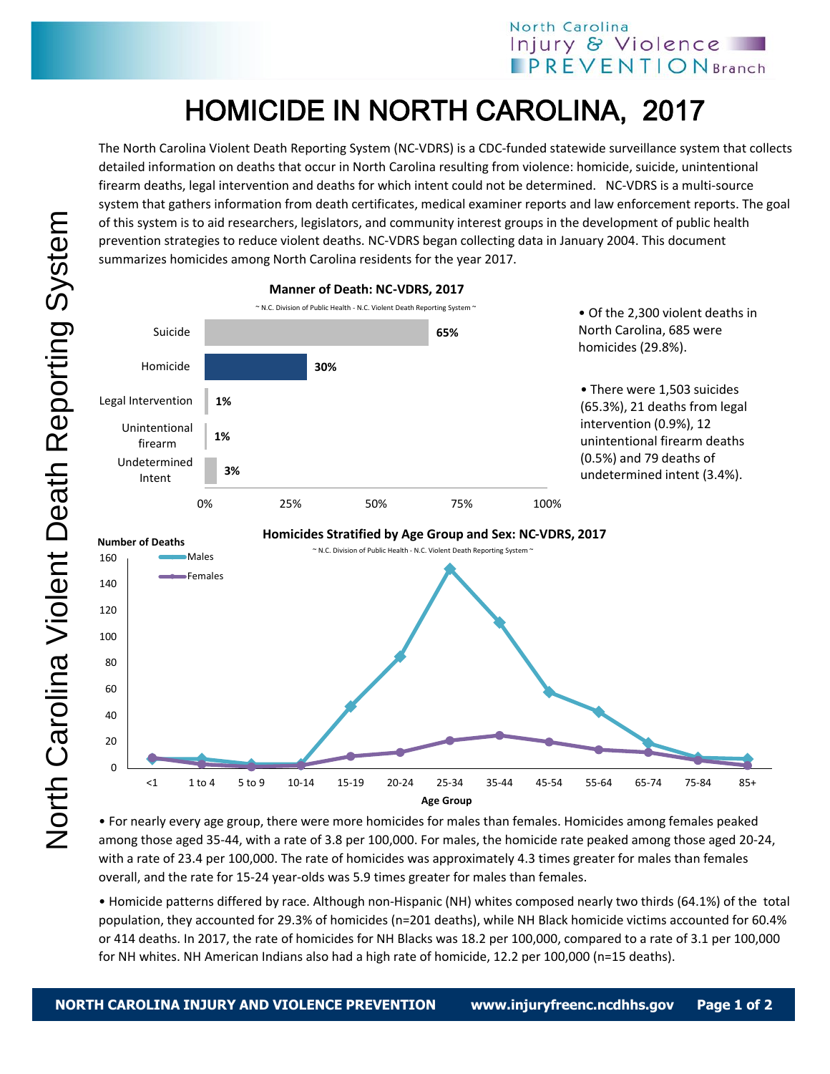## North Carolina Injury & Violence **IPREVENTIONBranch**

## HOMICIDE IN NORTH CAROLINA, 2017

The North Carolina Violent Death Reporting System (NC-VDRS) is a CDC-funded statewide surveillance system that collects detailed information on deaths that occur in North Carolina resulting from violence: homicide, suicide, unintentional firearm deaths, legal intervention and deaths for which intent could not be determined. NC-VDRS is a multi-source system that gathers information from death certificates, medical examiner reports and law enforcement reports. The goal of this system is to aid researchers, legislators, and community interest groups in the development of public health prevention strategies to reduce violent deaths. NC-VDRS began collecting data in January 2004. This document summarizes homicides among North Carolina residents for the year 2017.



• For nearly every age group, there were more homicides for males than females. Homicides among females peaked among those aged 35-44, with a rate of 3.8 per 100,000. For males, the homicide rate peaked among those aged 20-24, with a rate of 23.4 per 100,000. The rate of homicides was approximately 4.3 times greater for males than females overall, and the rate for 15-24 year-olds was 5.9 times greater for males than females.

• Homicide patterns differed by race. Although non-Hispanic (NH) whites composed nearly two thirds (64.1%) of the total population, they accounted for 29.3% of homicides (n=201 deaths), while NH Black homicide victims accounted for 60.4% or 414 deaths. In 2017, the rate of homicides for NH Blacks was 18.2 per 100,000, compared to a rate of 3.1 per 100,000 for NH whites. NH American Indians also had a high rate of homicide, 12.2 per 100,000 (n=15 deaths).